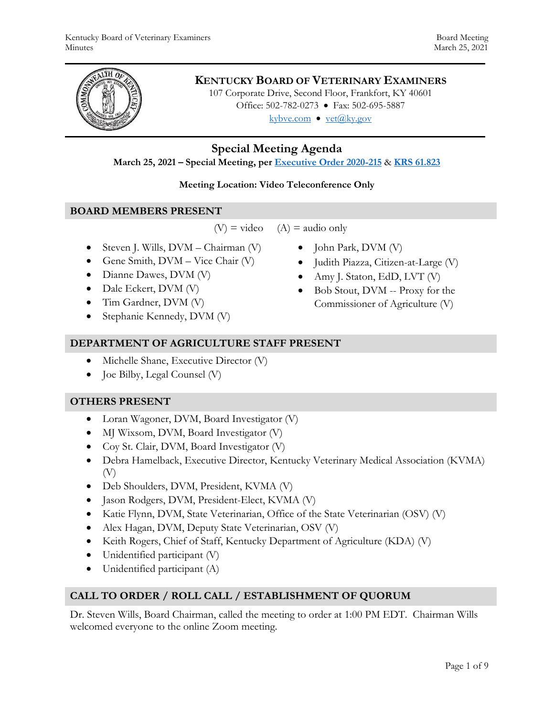

# **KENTUCKY BOARD OF VETERINARY EXAMINERS**

107 Corporate Drive, Second Floor, Frankfort, KY 40601 Office: 502-782-0273 • Fax: 502-695-5887 kybve.com  $\bullet$  vet@ky.gov

# **Special Meeting Agenda**

**March 25, 2021 – Special Meeting, per [Executive Order 2020-215](https://governor.ky.gov/attachments/20200306_Executive-Order_2020-215.pdf)** & **[KRS 61.823](https://apps.legislature.ky.gov/law/statutes/statute.aspx?id=23047)**

### **Meeting Location: Video Teleconference Only**

### **BOARD MEMBERS PRESENT**

 $(V)$  = video  $(A)$  = audio only

- Steven J. Wills,  $DVM Chairman (V)$
- Gene Smith,  $DVM Vice$  Chair  $(V)$
- Dianne Dawes, DVM (V)
- Dale Eckert, DVM (V)
- Tim Gardner, DVM (V)
- Stephanie Kennedy, DVM (V)
- John Park, DVM (V)
- Judith Piazza, Citizen-at-Large (V)
- Amy J. Staton, EdD, LVT (V)
- Bob Stout, DVM -- Proxy for the Commissioner of Agriculture (V)

# **DEPARTMENT OF AGRICULTURE STAFF PRESENT**

- Michelle Shane, Executive Director (V)
- Joe Bilby, Legal Counsel (V)

# **OTHERS PRESENT**

- Loran Wagoner, DVM, Board Investigator (V)
- $\bullet$  MJ Wixsom, DVM, Board Investigator (V)
- Coy St. Clair, DVM, Board Investigator (V)
- Debra Hamelback, Executive Director, Kentucky Veterinary Medical Association (KVMA) (V)
- Deb Shoulders, DVM, President, KVMA (V)
- Jason Rodgers, DVM, President-Elect, KVMA (V)
- Katie Flynn, DVM, State Veterinarian, Office of the State Veterinarian (OSV) (V)
- Alex Hagan, DVM, Deputy State Veterinarian, OSV (V)
- Keith Rogers, Chief of Staff, Kentucky Department of Agriculture (KDA) (V)
- Unidentified participant (V)
- Unidentified participant (A)

# **CALL TO ORDER / ROLL CALL / ESTABLISHMENT OF QUORUM**

Dr. Steven Wills, Board Chairman, called the meeting to order at 1:00 PM EDT. Chairman Wills welcomed everyone to the online Zoom meeting.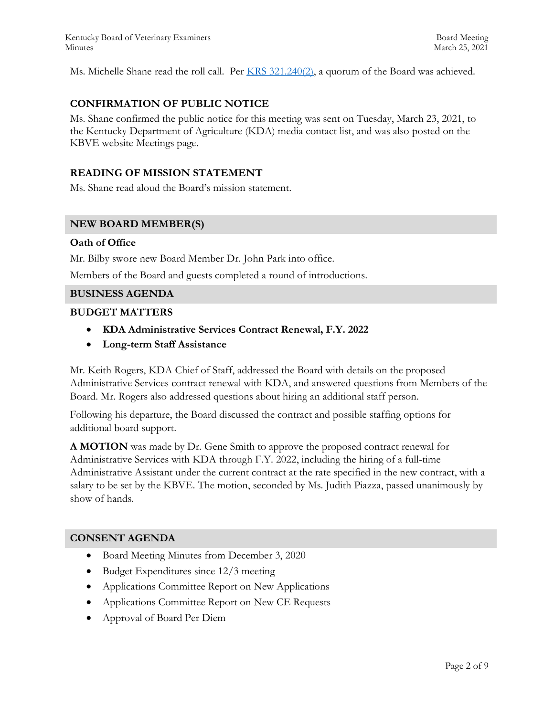Kentucky Board of Veterinary Examiners **Board Meeting** Board Meeting Minutes March 25, 2021

Ms. Michelle Shane read the roll call. Per [KRS 321.240\(2\),](https://apps.legislature.ky.gov/law/statutes/statute.aspx?id=45333) a quorum of the Board was achieved.

### **CONFIRMATION OF PUBLIC NOTICE**

Ms. Shane confirmed the public notice for this meeting was sent on Tuesday, March 23, 2021, to the Kentucky Department of Agriculture (KDA) media contact list, and was also posted on the KBVE website Meetings page.

#### **READING OF MISSION STATEMENT**

Ms. Shane read aloud the Board's mission statement.

#### **NEW BOARD MEMBER(S)**

#### **Oath of Office**

Mr. Bilby swore new Board Member Dr. John Park into office.

Members of the Board and guests completed a round of introductions.

#### **BUSINESS AGENDA**

#### **BUDGET MATTERS**

- **KDA Administrative Services Contract Renewal, F.Y. 2022**
- **Long-term Staff Assistance**

Mr. Keith Rogers, KDA Chief of Staff, addressed the Board with details on the proposed Administrative Services contract renewal with KDA, and answered questions from Members of the Board. Mr. Rogers also addressed questions about hiring an additional staff person.

Following his departure, the Board discussed the contract and possible staffing options for additional board support.

**A MOTION** was made by Dr. Gene Smith to approve the proposed contract renewal for Administrative Services with KDA through F.Y. 2022, including the hiring of a full-time Administrative Assistant under the current contract at the rate specified in the new contract, with a salary to be set by the KBVE. The motion, seconded by Ms. Judith Piazza, passed unanimously by show of hands.

#### **CONSENT AGENDA**

- Board Meeting Minutes from December 3, 2020
- Budget Expenditures since 12/3 meeting
- Applications Committee Report on New Applications
- Applications Committee Report on New CE Requests
- Approval of Board Per Diem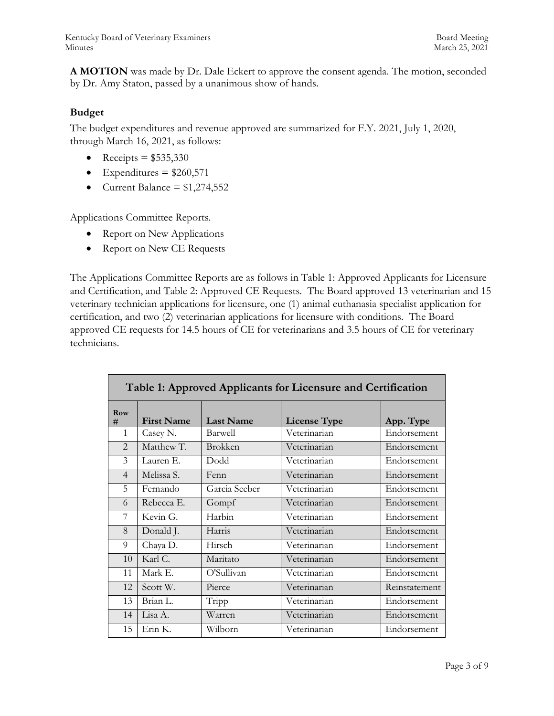**A MOTION** was made by Dr. Dale Eckert to approve the consent agenda. The motion, seconded by Dr. Amy Staton, passed by a unanimous show of hands.

# **Budget**

The budget expenditures and revenue approved are summarized for F.Y. 2021, July 1, 2020, through March 16, 2021, as follows:

- Receipts =  $$535,330$
- Expenditures =  $$260,571$
- Current Balance =  $$1,274,552$

Applications Committee Reports.

- Report on New Applications
- Report on New CE Requests

The Applications Committee Reports are as follows in Table 1: Approved Applicants for Licensure and Certification, and Table 2: Approved CE Requests. The Board approved 13 veterinarian and 15 veterinary technician applications for licensure, one (1) animal euthanasia specialist application for certification, and two (2) veterinarian applications for licensure with conditions. The Board approved CE requests for 14.5 hours of CE for veterinarians and 3.5 hours of CE for veterinary technicians.

| Table 1: Approved Applicants for Licensure and Certification |                   |                  |                     |               |  |  |  |
|--------------------------------------------------------------|-------------------|------------------|---------------------|---------------|--|--|--|
| Row<br>#                                                     | <b>First Name</b> | <b>Last Name</b> | <b>License Type</b> | App. Type     |  |  |  |
| $\mathbf{1}$                                                 | Casey N.          | Barwell          | Veterinarian        | Endorsement   |  |  |  |
| $\mathcal{L}$                                                | Matthew T.        | <b>Brokken</b>   | Veterinarian        | Endorsement   |  |  |  |
| 3                                                            | Lauren E.         | <b>Dodd</b>      | Veterinarian        | Endorsement   |  |  |  |
| $\overline{4}$                                               | Melissa S.        | Fenn             | Veterinarian        | Endorsement   |  |  |  |
| 5                                                            | Fernando          | Garcia Seeber    | Veterinarian        | Endorsement   |  |  |  |
| 6                                                            | Rebecca E.        | Gompf            | Veterinarian        | Endorsement   |  |  |  |
| 7                                                            | Kevin G.          | Harbin           | Veterinarian        | Endorsement   |  |  |  |
| 8                                                            | Donald J.         | Harris           | Veterinarian        | Endorsement   |  |  |  |
| 9                                                            | Chaya D.          | Hirsch           | Veterinarian        | Endorsement   |  |  |  |
| 10                                                           | Karl C.           | Maritato         | Veterinarian        | Endorsement   |  |  |  |
| 11                                                           | Mark E.           | O'Sullivan       | Veterinarian        | Endorsement   |  |  |  |
| 12                                                           | Scott W.          | Pierce           | Veterinarian        | Reinstatement |  |  |  |
| 13                                                           | Brian L.          | Tripp            | Veterinarian        | Endorsement   |  |  |  |
| 14                                                           | Lisa A.           | Warren           | Veterinarian        | Endorsement   |  |  |  |
| 15                                                           | Erin K.           | Wilborn          | Veterinarian        | Endorsement   |  |  |  |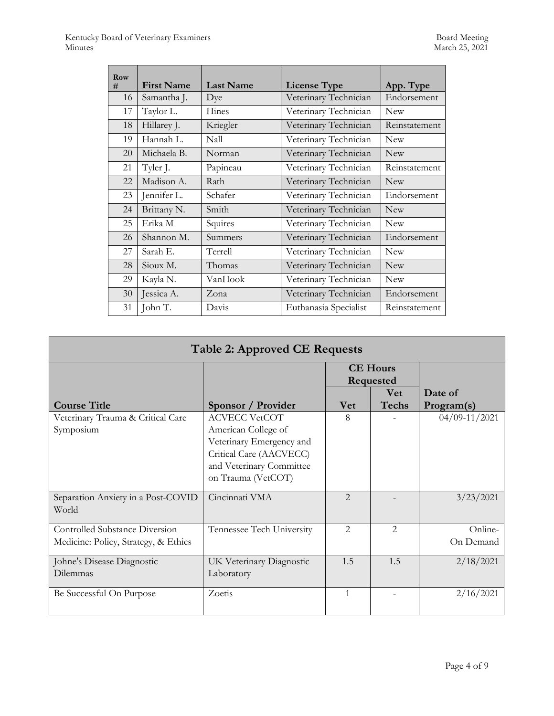| <b>Row</b><br># | <b>First Name</b> | <b>Last Name</b> | <b>License Type</b>   | App. Type     |
|-----------------|-------------------|------------------|-----------------------|---------------|
| 16              | Samantha J.       | Dye              | Veterinary Technician | Endorsement   |
| 17              | Taylor L.         | Hines            | Veterinary Technician | <b>New</b>    |
| 18              | Hillarey J.       | Kriegler         | Veterinary Technician | Reinstatement |
| 19              | Hannah L.         | Nall             | Veterinary Technician | <b>New</b>    |
| 20              | Michaela B.       | Norman           | Veterinary Technician | <b>New</b>    |
| 21              | Tyler J.          | Papineau         | Veterinary Technician | Reinstatement |
| 22              | Madison A.        | Rath             | Veterinary Technician | <b>New</b>    |
| 23              | Jennifer L.       | Schafer          | Veterinary Technician | Endorsement   |
| 24              | Brittany N.       | Smith            | Veterinary Technician | <b>New</b>    |
| 25              | Erika M           | Squires          | Veterinary Technician | <b>New</b>    |
| 26              | Shannon M.        | Summers          | Veterinary Technician | Endorsement   |
| 27              | Sarah E.          | Terrell          | Veterinary Technician | <b>New</b>    |
| 28              | Sioux M.          | Thomas           | Veterinary Technician | <b>New</b>    |
| 29              | Kayla N.          | VanHook          | Veterinary Technician | <b>New</b>    |
| 30              | Jessica A.        | Zona             | Veterinary Technician | Endorsement   |
| 31              | John T.           | Davis            | Euthanasia Specialist | Reinstatement |

| <b>Table 2: Approved CE Requests</b>  |                           |                              |               |                   |  |  |  |
|---------------------------------------|---------------------------|------------------------------|---------------|-------------------|--|--|--|
|                                       |                           | <b>CE Hours</b><br>Requested |               |                   |  |  |  |
|                                       |                           |                              |               |                   |  |  |  |
|                                       |                           |                              | <b>Vet</b>    | Date of           |  |  |  |
| <b>Course Title</b>                   | Sponsor / Provider        | Vet                          | <b>Techs</b>  | Program(s)        |  |  |  |
| Veterinary Trauma & Critical Care     | <b>ACVECC VetCOT</b>      | 8                            |               | $04/09 - 11/2021$ |  |  |  |
| Symposium                             | American College of       |                              |               |                   |  |  |  |
|                                       | Veterinary Emergency and  |                              |               |                   |  |  |  |
|                                       | Critical Care (AACVECC)   |                              |               |                   |  |  |  |
|                                       | and Veterinary Committee  |                              |               |                   |  |  |  |
|                                       | on Trauma (VetCOT)        |                              |               |                   |  |  |  |
|                                       |                           |                              |               |                   |  |  |  |
| Separation Anxiety in a Post-COVID    | Cincinnati VMA            | $\mathfrak{D}$               |               | 3/23/2021         |  |  |  |
| World                                 |                           |                              |               |                   |  |  |  |
|                                       |                           |                              |               |                   |  |  |  |
| <b>Controlled Substance Diversion</b> | Tennessee Tech University | $\mathfrak{D}$               | $\mathcal{L}$ | Online-           |  |  |  |
| Medicine: Policy, Strategy, & Ethics  |                           |                              |               | On Demand         |  |  |  |
| Johne's Disease Diagnostic            | UK Veterinary Diagnostic  | 1.5                          | 1.5           | 2/18/2021         |  |  |  |
| Dilemmas                              | Laboratory                |                              |               |                   |  |  |  |
| Be Successful On Purpose              | Zoetis                    | $\mathbf{1}$                 |               | 2/16/2021         |  |  |  |
|                                       |                           |                              |               |                   |  |  |  |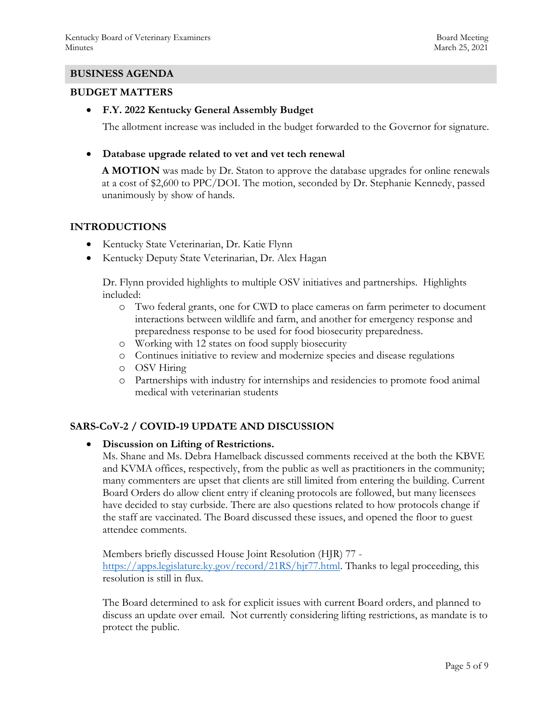### **BUSINESS AGENDA**

#### **BUDGET MATTERS**

**F.Y. 2022 Kentucky General Assembly Budget**

The allotment increase was included in the budget forwarded to the Governor for signature.

**Database upgrade related to vet and vet tech renewal** 

**A MOTION** was made by Dr. Staton to approve the database upgrades for online renewals at a cost of \$2,600 to PPC/DOI. The motion, seconded by Dr. Stephanie Kennedy, passed unanimously by show of hands.

### **INTRODUCTIONS**

- Kentucky State Veterinarian, Dr. Katie Flynn
- Kentucky Deputy State Veterinarian, Dr. Alex Hagan

Dr. Flynn provided highlights to multiple OSV initiatives and partnerships. Highlights included:

- o Two federal grants, one for CWD to place cameras on farm perimeter to document interactions between wildlife and farm, and another for emergency response and preparedness response to be used for food biosecurity preparedness.
- o Working with 12 states on food supply biosecurity
- o Continues initiative to review and modernize species and disease regulations
- o OSV Hiring
- o Partnerships with industry for internships and residencies to promote food animal medical with veterinarian students

# **SARS-CoV-2 / COVID-19 UPDATE AND DISCUSSION**

### **Discussion on Lifting of Restrictions.**

Ms. Shane and Ms. Debra Hamelback discussed comments received at the both the KBVE and KVMA offices, respectively, from the public as well as practitioners in the community; many commenters are upset that clients are still limited from entering the building. Current Board Orders do allow client entry if cleaning protocols are followed, but many licensees have decided to stay curbside. There are also questions related to how protocols change if the staff are vaccinated. The Board discussed these issues, and opened the floor to guest attendee comments.

Members briefly discussed House Joint Resolution (HJR) 77 [https://apps.legislature.ky.gov/record/21RS/hjr77.html.](https://apps.legislature.ky.gov/record/21RS/hjr77.html) Thanks to legal proceeding, this resolution is still in flux.

The Board determined to ask for explicit issues with current Board orders, and planned to discuss an update over email. Not currently considering lifting restrictions, as mandate is to protect the public.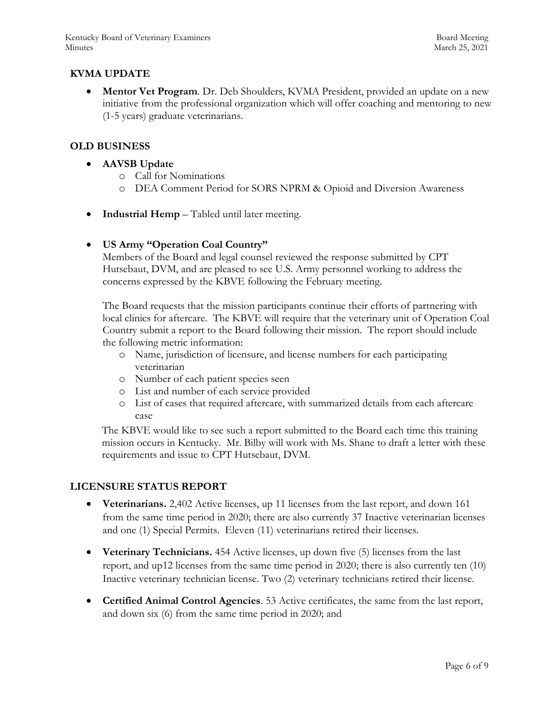# **KVMA UPDATE**

 **Mentor Vet Program**. Dr. Deb Shoulders, KVMA President, provided an update on a new initiative from the professional organization which will offer coaching and mentoring to new (1-5 years) graduate veterinarians.

### **OLD BUSINESS**

- **AAVSB Update** 
	- o Call for Nominations
	- o DEA Comment Period for SORS NPRM & Opioid and Diversion Awareness
- **Industrial Hemp** Tabled until later meeting.

### **US Army "Operation Coal Country"**

Members of the Board and legal counsel reviewed the response submitted by CPT Hutsebaut, DVM, and are pleased to see U.S. Army personnel working to address the concerns expressed by the KBVE following the February meeting.

The Board requests that the mission participants continue their efforts of partnering with local clinics for aftercare. The KBVE will require that the veterinary unit of Operation Coal Country submit a report to the Board following their mission. The report should include the following metric information:

- o Name, jurisdiction of licensure, and license numbers for each participating veterinarian
- o Number of each patient species seen
- o List and number of each service provided
- o List of cases that required aftercare, with summarized details from each aftercare case

The KBVE would like to see such a report submitted to the Board each time this training mission occurs in Kentucky. Mr. Bilby will work with Ms. Shane to draft a letter with these requirements and issue to CPT Hutsebaut, DVM.

### **LICENSURE STATUS REPORT**

- **Veterinarians.** 2,402 Active licenses, up 11 licenses from the last report, and down 161 from the same time period in 2020; there are also currently 37 Inactive veterinarian licenses and one (1) Special Permits. Eleven (11) veterinarians retired their licenses.
- **Veterinary Technicians.** 454 Active licenses, up down five (5) licenses from the last report, and up12 licenses from the same time period in 2020; there is also currently ten (10) Inactive veterinary technician license. Two (2) veterinary technicians retired their license.
- **Certified Animal Control Agencies**. 53 Active certificates, the same from the last report, and down six (6) from the same time period in 2020; and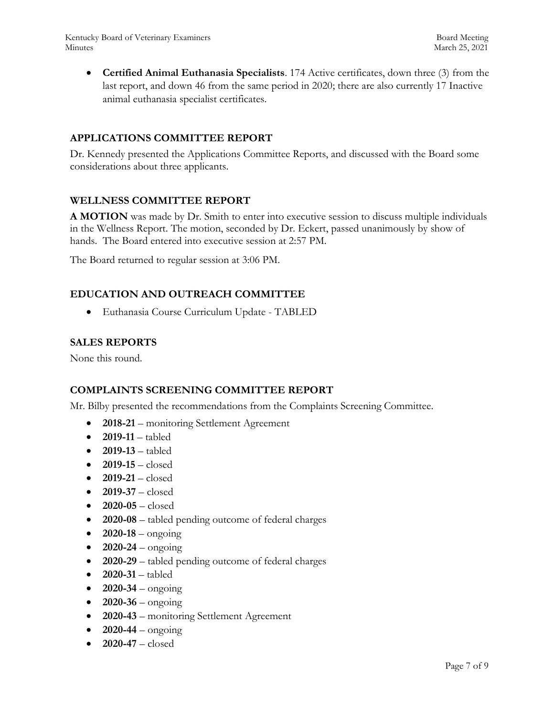Kentucky Board of Veterinary Examiners and the state of the Board Meeting Board Meeting Minutes March 25, 2021

 **Certified Animal Euthanasia Specialists**. 174 Active certificates, down three (3) from the last report, and down 46 from the same period in 2020; there are also currently 17 Inactive animal euthanasia specialist certificates.

### **APPLICATIONS COMMITTEE REPORT**

Dr. Kennedy presented the Applications Committee Reports, and discussed with the Board some considerations about three applicants.

### **WELLNESS COMMITTEE REPORT**

**A MOTION** was made by Dr. Smith to enter into executive session to discuss multiple individuals in the Wellness Report. The motion, seconded by Dr. Eckert, passed unanimously by show of hands. The Board entered into executive session at 2:57 PM.

The Board returned to regular session at 3:06 PM.

### **EDUCATION AND OUTREACH COMMITTEE**

Euthanasia Course Curriculum Update - TABLED

### **SALES REPORTS**

None this round.

### **COMPLAINTS SCREENING COMMITTEE REPORT**

Mr. Bilby presented the recommendations from the Complaints Screening Committee.

- **2018-21** monitoring Settlement Agreement
- 2019-11 tabled
- **2019-13**  tabled
- **2019-15**  closed
- **2019-21**  closed
- **2019-37**  closed
- **2020-05**  closed
- **2020-08**  tabled pending outcome of federal charges
- **2020-18**  ongoing
- $2020 24 \text{ongoing}$
- **2020-29**  tabled pending outcome of federal charges
- 2020-31 tabled
- $2020 34 \text{ongoing}$
- $2020 36 -$  ongoing
- **2020-43**  monitoring Settlement Agreement
- **2020-44**  ongoing
- $\bullet$  **2020-47** closed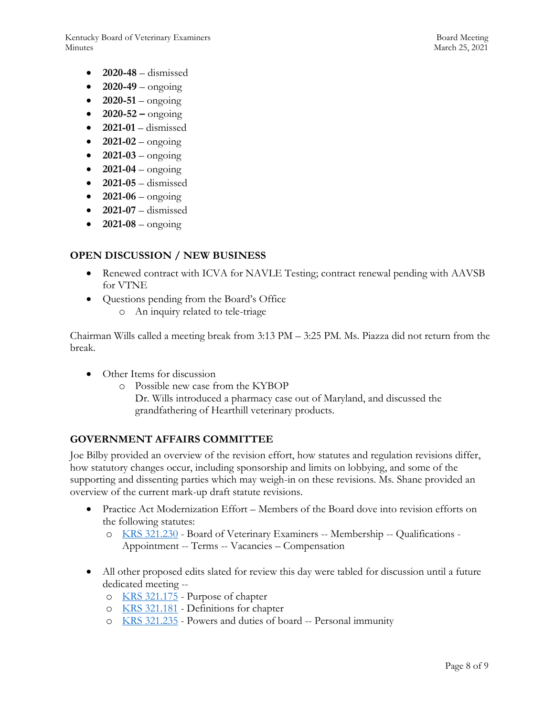Kentucky Board of Veterinary Examiners and the state of the Board Meeting Board Meeting Minutes March 25, 2021

- **2020-48**  dismissed
- $2020-49 \text{ongoing}$
- $2020 51 \text{ongoing}$
- $2020 52 \text{ongoing}$
- **2021-01**  dismissed
- $2021-02 -$  ongoing
- $2021 03 \text{ongoing}$
- $2021-04 \text{ongoing}$
- **2021-05** dismissed
- $\bullet$  **2021-06** ongoing
- **2021-07** dismissed
- $\bullet$  **2021-08** ongoing

# **OPEN DISCUSSION / NEW BUSINESS**

- Renewed contract with ICVA for NAVLE Testing; contract renewal pending with AAVSB for VTNE
- Questions pending from the Board's Office
	- o An inquiry related to tele-triage

Chairman Wills called a meeting break from 3:13 PM – 3:25 PM. Ms. Piazza did not return from the break.

- Other Items for discussion
	- o Possible new case from the KYBOP

Dr. Wills introduced a pharmacy case out of Maryland, and discussed the grandfathering of Hearthill veterinary products.

# **GOVERNMENT AFFAIRS COMMITTEE**

Joe Bilby provided an overview of the revision effort, how statutes and regulation revisions differ, how statutory changes occur, including sponsorship and limits on lobbying, and some of the supporting and dissenting parties which may weigh-in on these revisions. Ms. Shane provided an overview of the current mark-up draft statute revisions.

- Practice Act Modernization Effort Members of the Board dove into revision efforts on the following statutes:
	- o [KRS 321.230](https://apps.legislature.ky.gov/law/statutes/statute.aspx?id=45329) Board of Veterinary Examiners -- Membership -- Qualifications Appointment -- Terms -- Vacancies – Compensation
- All other proposed edits slated for review this day were tabled for discussion until a future dedicated meeting -
	- o [KRS 321.175](https://apps.legislature.ky.gov/law/statutes/statute.aspx?id=45320) Purpose of chapter
	- o [KRS 321.181](https://apps.legislature.ky.gov/law/statutes/statute.aspx?id=45321) Definitions for chapter
	- o [KRS 321.235](https://apps.legislature.ky.gov/law/statutes/statute.aspx?id=45330) Powers and duties of board -- Personal immunity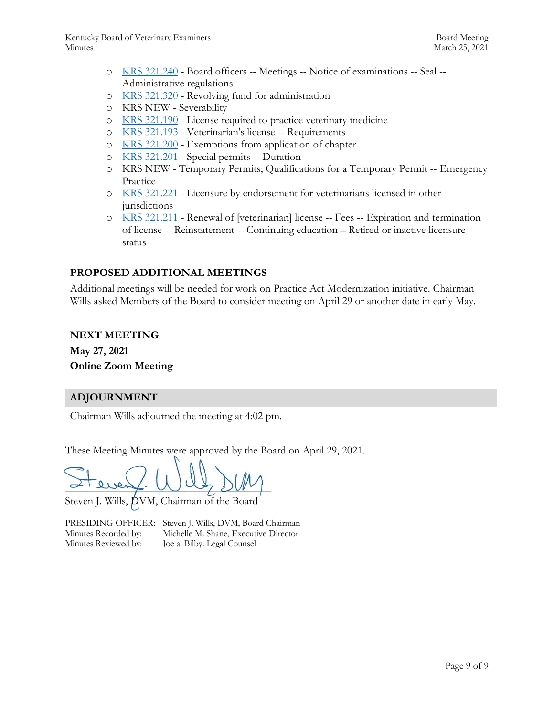- o [KRS 321.240](https://apps.legislature.ky.gov/law/statutes/statute.aspx?id=45333) Board officers -- Meetings -- Notice of examinations -- Seal -- Administrative regulations
- o [KRS 321.320](https://apps.legislature.ky.gov/law/statutes/statute.aspx?id=31399) Revolving fund for administration
- o KRS NEW Severability
- o [KRS 321.190](https://apps.legislature.ky.gov/law/statutes/statute.aspx?id=45323) License required to practice veterinary medicine
- o [KRS 321.193](https://apps.legislature.ky.gov/law/statutes/statute.aspx?id=45324) Veterinarian's license -- Requirements
- o [KRS 321.200](https://apps.legislature.ky.gov/law/statutes/statute.aspx?id=45325) Exemptions from application of chapter
- o [KRS 321.201](https://apps.legislature.ky.gov/law/statutes/statute.aspx?id=45326) Special permits -- Duration
- o KRS NEW Temporary Permits; Qualifications for a Temporary Permit -- Emergency Practice
- o [KRS 321.221](https://apps.legislature.ky.gov/law/statutes/statute.aspx?id=31387) Licensure by endorsement for veterinarians licensed in other jurisdictions
- o [KRS 321.211](https://apps.legislature.ky.gov/law/statutes/statute.aspx?id=45328) Renewal of [veterinarian] license -- Fees -- Expiration and termination of license -- Reinstatement -- Continuing education – Retired or inactive licensure status

# **PROPOSED ADDITIONAL MEETINGS**

Additional meetings will be needed for work on Practice Act Modernization initiative. Chairman Wills asked Members of the Board to consider meeting on April 29 or another date in early May.

### **NEXT MEETING**

**May 27, 2021 Online Zoom Meeting**

# **ADJOURNMENT**

Chairman Wills adjourned the meeting at 4:02 pm.

These Meeting Minutes were approved by the Board on April 29, 2021.

 $\sim$  every. We get  $\mathcal{D}(N)$ 

Steven J. Wills, DVM, Chairman of the Board

Minutes Reviewed by: Joe a. Bilby. Legal Counsel

PRESIDING OFFICER: Steven J. Wills, DVM, Board Chairman Minutes Recorded by: Michelle M. Shane, Executive Director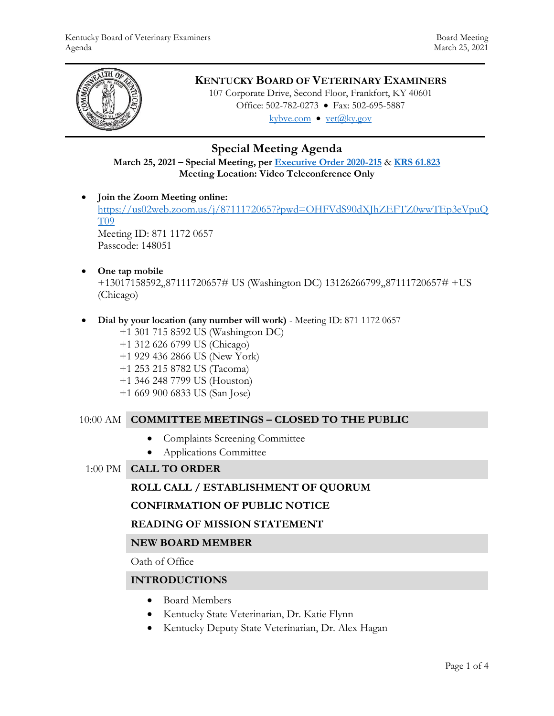

# **KENTUCKY BOARD OF VETERINARY EXAMINERS**

107 Corporate Drive, Second Floor, Frankfort, KY 40601 Office: 502-782-0273 • Fax: 502-695-5887 kybve.com  $\bullet$  yet $(\partial_k ky.gov)$ 

# **Special Meeting Agenda**

**March 25, 2021 – Special Meeting, per [Executive Order 2020-215](https://governor.ky.gov/attachments/20200306_Executive-Order_2020-215.pdf)** & **[KRS 61.823](https://apps.legislature.ky.gov/law/statutes/statute.aspx?id=23047) Meeting Location: Video Teleconference Only**

**Join the Zoom Meeting online:** 

[https://us02web.zoom.us/j/87111720657?pwd=OHFVdS90dXJhZEFTZ0wwTEp3eVpuQ](https://us02web.zoom.us/j/87111720657?pwd=OHFVdS90dXJhZEFTZ0wwTEp3eVpuQT09) [T09](https://us02web.zoom.us/j/87111720657?pwd=OHFVdS90dXJhZEFTZ0wwTEp3eVpuQT09) Meeting ID: 871 1172 0657

Passcode: 148051

**One tap mobile**

+13017158592,,87111720657# US (Washington DC) 13126266799,,87111720657# +US (Chicago)

**Dial by your location (any number will work)** - Meeting ID: 871 1172 0657

 +1 301 715 8592 US (Washington DC) +1 312 626 6799 US (Chicago) +1 929 436 2866 US (New York) +1 253 215 8782 US (Tacoma) +1 346 248 7799 US (Houston) +1 669 900 6833 US (San Jose)

# 10:00 AM **COMMITTEE MEETINGS – CLOSED TO THE PUBLIC**

- Complaints Screening Committee
- Applications Committee
- 1:00 PM **CALL TO ORDER**

# **ROLL CALL / ESTABLISHMENT OF QUORUM**

# **CONFIRMATION OF PUBLIC NOTICE**

# **READING OF MISSION STATEMENT**

# **NEW BOARD MEMBER**

Oath of Office

# **INTRODUCTIONS**

- Board Members
- Kentucky State Veterinarian, Dr. Katie Flynn
- Kentucky Deputy State Veterinarian, Dr. Alex Hagan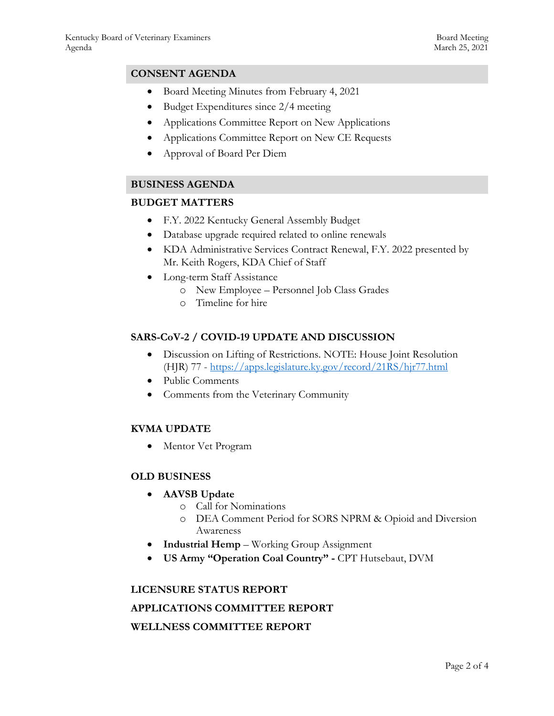# **CONSENT AGENDA**

- Board Meeting Minutes from February 4, 2021
- Budget Expenditures since 2/4 meeting
- Applications Committee Report on New Applications
- Applications Committee Report on New CE Requests
- Approval of Board Per Diem

# **BUSINESS AGENDA**

#### **BUDGET MATTERS**

- F.Y. 2022 Kentucky General Assembly Budget
- Database upgrade required related to online renewals
- KDA Administrative Services Contract Renewal, F.Y. 2022 presented by Mr. Keith Rogers, KDA Chief of Staff
- Long-term Staff Assistance
	- o New Employee Personnel Job Class Grades
	- o Timeline for hire

### **SARS-CoV-2 / COVID-19 UPDATE AND DISCUSSION**

- Discussion on Lifting of Restrictions. NOTE: House Joint Resolution (HJR) 77 - <https://apps.legislature.ky.gov/record/21RS/hjr77.html>
- Public Comments
- Comments from the Veterinary Community

# **KVMA UPDATE**

Mentor Vet Program

### **OLD BUSINESS**

- **AAVSB Update**
	- o Call for Nominations
	- o DEA Comment Period for SORS NPRM & Opioid and Diversion Awareness
- **Industrial Hemp** Working Group Assignment
- **US Army "Operation Coal Country" -** CPT Hutsebaut, DVM

# **LICENSURE STATUS REPORT APPLICATIONS COMMITTEE REPORT WELLNESS COMMITTEE REPORT**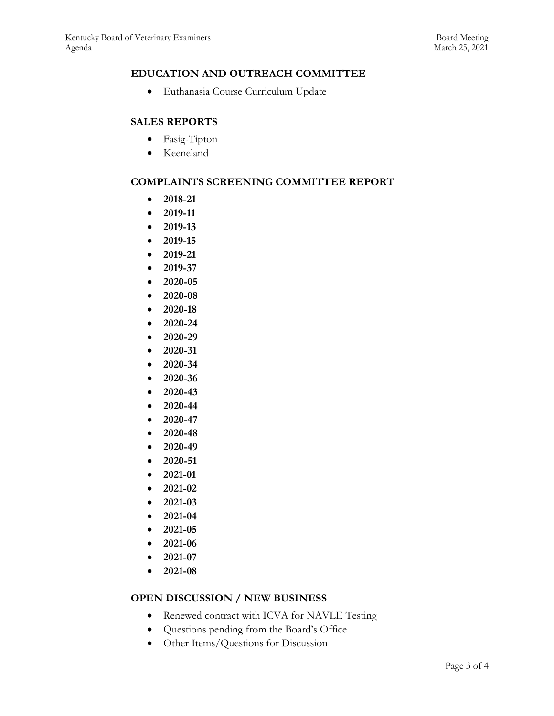# **EDUCATION AND OUTREACH COMMITTEE**

Euthanasia Course Curriculum Update

### **SALES REPORTS**

- Fasig-Tipton
- Keeneland

### **COMPLAINTS SCREENING COMMITTEE REPORT**

- **2018-21**
- **2019-11**
- **2019-13**
- **2019-15**
- **2019-21**
- **2019-37**
- **2020-05**
- **2020-08**
- **2020-18**
- **2020-24**
- **2020-29**
- **2020-31**
- **2020-34**
- **2020-36**
- **2020-43**
- **2020-44**
- **2020-47**
- 
- **2020-48**
- **2020-49**
- **2020-51**
- **2021-01**
- **2021-02**
- **2021-03**
- **2021-04**
- **2021-05**
- **2021-06**
- **2021-07**
- **2021-08**

### **OPEN DISCUSSION / NEW BUSINESS**

- Renewed contract with ICVA for NAVLE Testing
- Questions pending from the Board's Office
- Other Items/Questions for Discussion